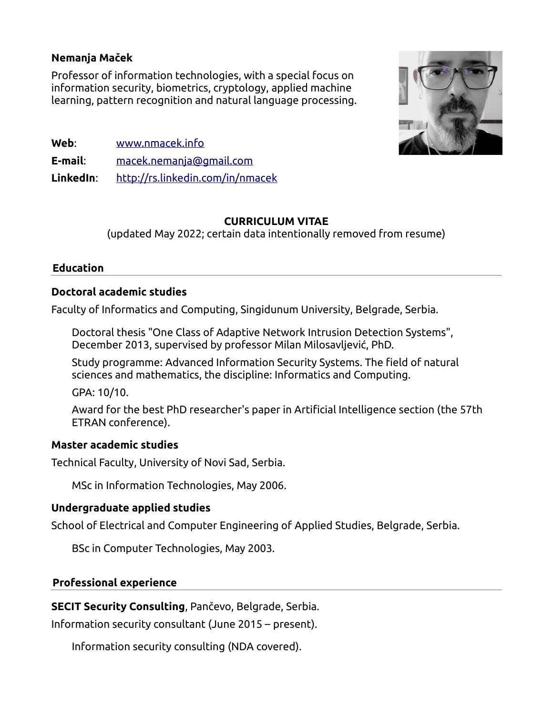# **Nemanja Maček**

Professor of information technologies, with a special focus on information security, biometrics, cryptology, applied machine learning, pattern recognition and natural language processing.



- **Web**: [www.nmacek.info](http://www.nmacek.info/)
- **E-mail**: [macek.nemanja@gmail.com](mailto:macek.nemanja@gmail.com)

**LinkedIn**: <http://rs.linkedin.com/in/nmacek>

# **CURRICULUM VITAE**

(updated Мay 2022; certain data intentionally removed from resume)

#### **Education**

# **Doctoral academic studies**

Faculty of Informatics and Computing, Singidunum University, Belgrade, Serbia.

Doctoral thesis "One Class of Adaptive Network Intrusion Detection Systems", December 2013, supervised by professor Milan Milosavljević, PhD.

Study programme: Advanced Information Security Systems. The field of natural sciences and mathematics, the discipline: Informatics and Computing.

GPA: 10/10.

Award for the best PhD researcher's paper in Artificial Intelligence section (the 57th ETRAN conference).

# **Master academic studies**

Technical Faculty, University of Novi Sad, Serbia.

MSc in Information Technologies, May 2006.

# **Undergraduate applied studies**

School of Electrical and Computer Engineering of Applied Studies, Belgrade, Serbia.

BSc in Computer Technologies, May 2003.

# **Professional experience**

**SECIT Security Consulting**, Pančevo, Belgrade, Serbia.

Information security consultant (June 2015 – present).

Information security consulting (NDA covered).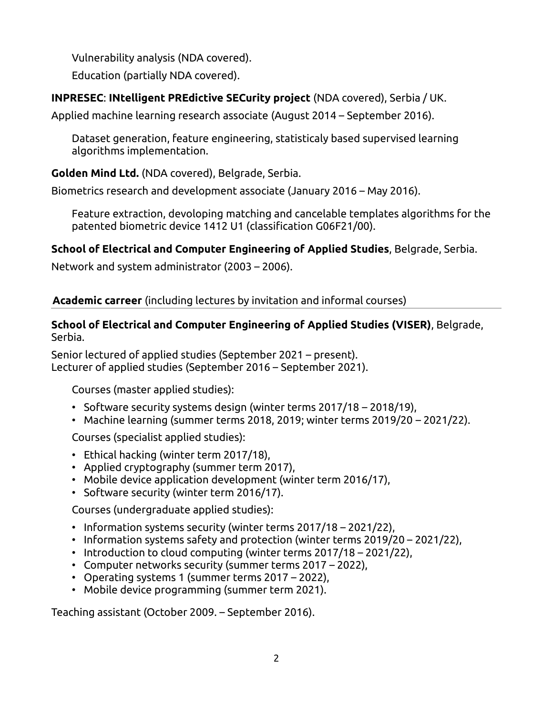Vulnerability analysis (NDA covered).

Education (partially NDA covered).

# **INPRESEC**: **INtelligent PREdictive SECurity project** (NDA covered), Serbia / UK.

Applied machine learning research associate (August 2014 – September 2016).

Dataset generation, feature engineering, statisticaly based supervised learning algorithms implementation.

**Golden Mind Ltd.** (NDA covered), Belgrade, Serbia.

Biometrics research and development associate (January 2016 – May 2016).

Feature extraction, devoloping matching and cancelable templates algorithms for the patented biometric device 1412 U1 (classification G06F21/00).

# **School of Electrical and Computer Engineering of Applied Studies**, Belgrade, Serbia.

Network and system administrator (2003 – 2006).

# **Academic carreer** (including lectures by invitation and informal courses)

# **School of Electrical and Computer Engineering of Applied Studies (VISER)**, Belgrade, Serbia.

Senior lectured of applied studies (September 2021 – present). Lecturer of applied studies (September 2016 – September 2021).

Courses (master applied studies):

- Software security systems design (winter terms 2017/18 2018/19),
- Machine learning (summer terms 2018, 2019; winter terms 2019/20 2021/22).

Courses (specialist applied studies):

- Ethical hacking (winter term 2017/18),
- Applied cryptography (summer term 2017),
- Mobile device application development (winter term 2016/17),
- Software security (winter term 2016/17).

Courses (undergraduate applied studies):

- Information systems security (winter terms 2017/18 2021/22),
- Information systems safety and protection (winter terms 2019/20 2021/22),
- Introduction to cloud computing (winter terms 2017/18 2021/22),
- Computer networks security (summer terms 2017 2022),
- Operating systems 1 (summer terms 2017 2022),
- Mobile device programming (summer term 2021).

Teaching assistant (October 2009. – September 2016).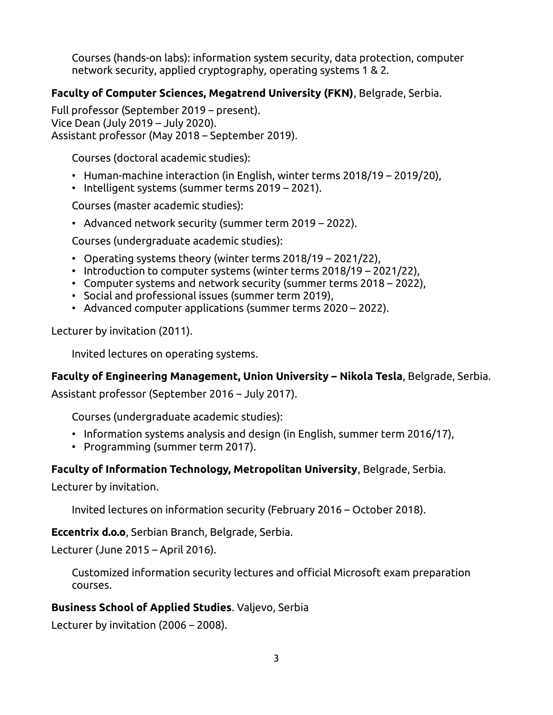Courses (hands-on labs): information system security, data protection, computer network security, applied cryptography, operating systems 1 & 2.

# **Faculty of Computer Sciences, Megatrend University (FKN)**, Belgrade, Serbia.

Full professor (September 2019 – present). Vice Dean (July 2019 – July 2020). Assistant professor (May 2018 – September 2019).

Courses (doctoral academic studies):

- Human-machine interaction (in English, winter terms 2018/19 2019/20),
- Intelligent systems (summer terms 2019 2021).

Courses (master academic studies):

• Advanced network security (summer term 2019 – 2022).

Courses (undergraduate academic studies):

- Operating systems theory (winter terms 2018/19 2021/22),
- Introduction to computer systems (winter terms 2018/19 2021/22),
- Computer systems and network security (summer terms 2018 2022),
- Social and professional issues (summer term 2019),
- Advanced computer applications (summer terms 2020 2022).

Lecturer by invitation (2011).

Invited lectures on operating systems.

# **Faculty of Engineering Management, Union University – Nikola Tesla**, Belgrade, Serbia.

Assistant professor (September 2016 – July 2017).

Courses (undergraduate academic studies):

- Information systems analysis and design (in English, summer term 2016/17),
- Programming (summer term 2017).

# **Faculty of Information Technology, Metropolitan University**, Belgrade, Serbia.

Lecturer by invitation.

Invited lectures on information security (February 2016 – October 2018).

**Eccentrix d.o.o**, Serbian Branch, Belgrade, Serbia.

Lecturer (June 2015 – April 2016).

Customized information security lectures and official Microsoft exam preparation courses.

# **Business School of Applied Studies**. Valjevo, Serbia

Lecturer by invitation (2006 – 2008).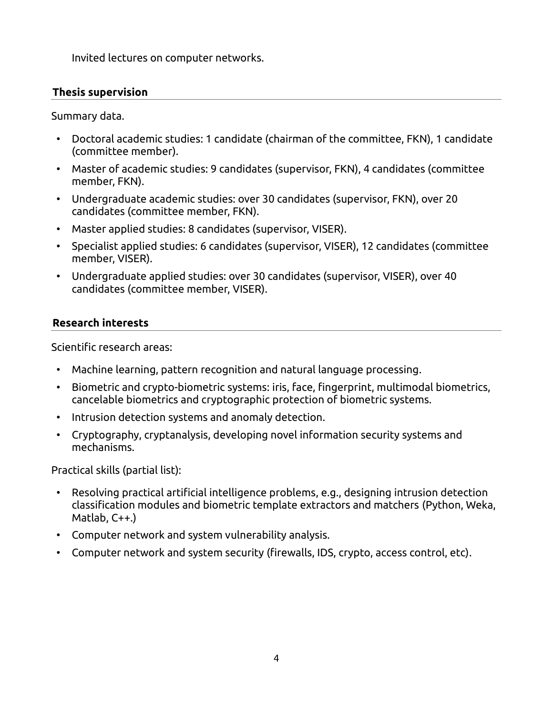Invited lectures on computer networks.

# **Thesis supervision**

Summary data.

- Doctoral academic studies: 1 candidate (chairman of the committee, FKN), 1 candidate (committee member).
- Master of academic studies: 9 candidates (supervisor, FKN), 4 candidates (committee member, FKN).
- Undergraduate academic studies: over 30 candidates (supervisor, FKN), over 20 candidates (committee member, FKN).
- Master applied studies: 8 candidates (supervisor, VISER).
- Specialist applied studies: 6 candidates (supervisor, VISER), 12 candidates (committee member, VISER).
- Undergraduate applied studies: over 30 candidates (supervisor, VISER), over 40 candidates (committee member, VISER).

# **Research interests**

Scientific research areas:

- Machine learning, pattern recognition and natural language processing.
- Biometric and crypto-biometric systems: iris, face, fingerprint, multimodal biometrics, cancelable biometrics and cryptographic protection of biometric systems.
- Intrusion detection systems and anomaly detection.
- Cryptography, cryptanalysis, developing novel information security systems and mechanisms.

Practical skills (partial list):

- Resolving practical artificial intelligence problems, e.g., designing intrusion detection classification modules and biometric template extractors and matchers (Python, Weka, Matlab, C++.)
- Computer network and system vulnerability analysis.
- Computer network and system security (firewalls, IDS, crypto, access control, etc).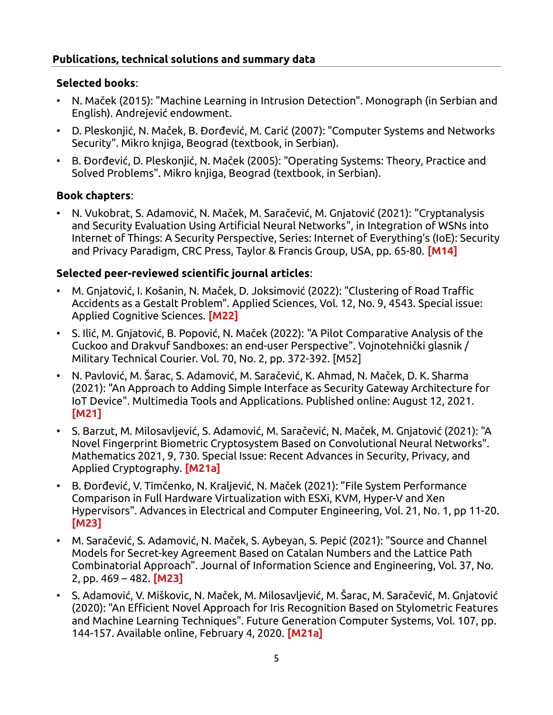# **Publications, technical solutions and summary data**

# **Selected books**:

- N. Maček (2015): "Machine Learning in Intrusion Detection". Monograph (in Serbian and English). Andrejević endowment.
- D. Pleskonjić, N. Maček, B. Đorđević, M. Carić (2007): "Computer Systems and Networks Security". Mikro knjiga, Beograd (textbook, in Serbian).
- B. Đorđević, D. Pleskonjić, N. Maček (2005): "Operating Systems: Theory, Practice and Solved Problems". Mikro knjiga, Beograd (textbook, in Serbian).

# **Book chapters**:

• N. Vukobrat, S. Adamović, N. Maček, M. Saračević, M. Gnjatović (2021): "Cryptanalysis and Security Evaluation Using Artificial Neural Networks", in Integration of WSNs into Internet of Things: A Security Perspective, Series: Internet of Everything's (IoE): Security and Privacy Paradigm, CRC Press, Taylor & Francis Group, USA, pp. 65-80. **[M14]**

# **Selected peer-reviewed scientific journal articles**:

- M. Gnjatović, I. Košanin, N. Maček, D. Joksimović (2022): "Clustering of Road Traffic Accidents as a Gestalt Problem". Applied Sciences, Vol. 12, No. 9, 4543. Special issue: Applied Cognitive Sciences. **[M22]**
- S. Ilić, M. Gnjatović, B. Popović, N. Maček (2022): "A Pilot Comparative Analysis of the Cuckoo and Drakvuf Sandboxes: an end-user Perspective". Vojnotehnički glasnik / Military Technical Courier. Vol. 70, No. 2, pp. 372-392. [M52]
- N. Pavlović, M. Šarac, S. Adamović, M. Saračević, K. Ahmad, N. Maček, D. K. Sharma (2021): "An Approach to Adding Simple Interface as Security Gateway Architecture for IoT Device". Multimedia Tools and Applications. Published online: August 12, 2021. **[M21]**
- S. Barzut, M. Milosavljević, S. Adamović, M. Saračević, N. Maček, M. Gnjatović (2021): "A Novel Fingerprint Biometric Cryptosystem Based on Convolutional Neural Networks". Mathematics 2021, 9, 730. Special Issue: Recent Advances in Security, Privacy, and Applied Cryptography. **[M21a]**
- B. Đorđević, V. Timčenko, N. Kraljević, N. Maček (2021): "File System Performance Comparison in Full Hardware Virtualization with ESXi, KVM, Hyper-V and Xen Hypervisors". Advances in Electrical and Computer Engineering, Vol. 21, No. 1, pp 11-20. **[M23]**
- M. Saračević, S. Adamović, N. Maček, S. Aybeyan, S. Pepić (2021): "Source and Channel Models for Secret-key Agreement Based on Catalan Numbers and the Lattice Path Combinatorial Approach". Journal of Information Science and Engineering, Vol. 37, No. 2, pp. 469 – 482. **[M23]**
- S. Adamović, V. Miškovic, N. Maček, M. Milosavljević, M. Šarac, M. Saračević, M. Gnjatović (2020): "An Efficient Novel Approach for Iris Recognition Based on Stylometric Features and Machine Learning Techniques". Future Generation Computer Systems, Vol. 107, pp. 144-157. Available online, February 4, 2020. **[M21a]**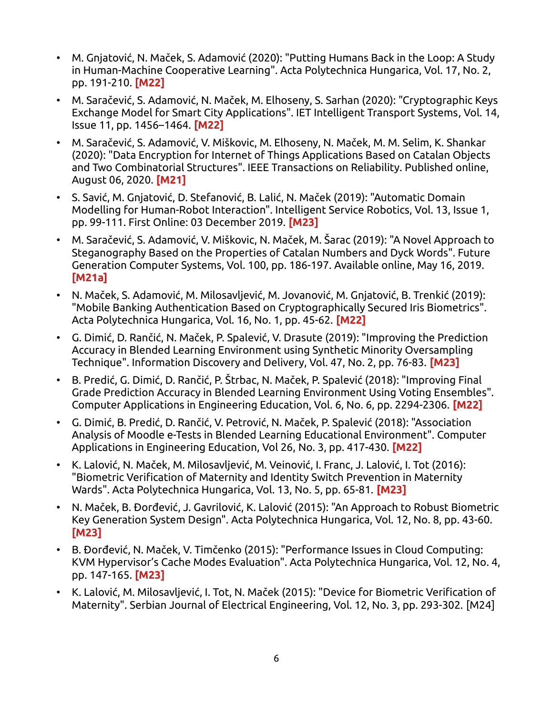- M. Gnjatović, N. Maček, S. Adamović (2020): "Putting Humans Back in the Loop: A Study in Human-Machine Cooperative Learning". Acta Polytechnica Hungarica, Vol. 17, No. 2, pp. 191-210. **[M22]**
- M. Saračević, S. Adamović, N. Maček, M. Elhoseny, S. Sarhan (2020): "Cryptographic Keys Exchange Model for Smart City Applications". IET Intelligent Transport Systems, Vol. 14, Issue 11, pp. 1456–1464. **[M22]**
- M. Saračević, S. Adamović, V. Miškovic, M. Elhoseny, N. Maček, M. M. Selim, K. Shankar (2020): "Data Encryption for Internet of Things Applications Based on Catalan Objects and Two Combinatorial Structures". IEEE Transactions on Reliability. Published online, August 06, 2020. **[M21]**
- S. Savić, M. Gnjatović, D. Stefanović, B. Lalić, N. Maček (2019): "Automatic Domain Modelling for Human-Robot Interaction". Intelligent Service Robotics, Vol. 13, Issue 1, pp. 99-111. First Online: 03 December 2019. **[M23]**
- M. Saračević, S. Adamović, V. Miškovic, N. Maček, M. Šarac (2019): "A Novel Approach to Steganography Based on the Properties of Catalan Numbers and Dyck Words". Future Generation Computer Systems, Vol. 100, pp. 186-197. Available online, May 16, 2019. **[M21a]**
- N. Maček, S. Adamović, M. Milosavljević, M. Jovanović, M. Gnjatović, B. Trenkić (2019): "Mobile Banking Authentication Based on Cryptographically Secured Iris Biometrics". Acta Polytechnica Hungarica, Vol. 16, No. 1, pp. 45-62. **[M22]**
- G. Dimić, D. Rančić, N. Maček, P. Spalević, V. Drasute (2019): "Improving the Prediction Accuracy in Blended Learning Environment using Synthetic Minority Oversampling Technique". Information Discovery and Delivery, Vol. 47, No. 2, pp. 76-83. **[M23]**
- B. Predić, G. Dimić, D. Rančić, P. Štrbac, N. Maček, P. Spalević (2018): "Improving Final Grade Prediction Accuracy in Blended Learning Environment Using Voting Ensembles". Computer Applications in Engineering Education, Vol. 6, No. 6, pp. 2294-2306. **[M22]**
- G. Dimić, B. Predić, D. Rančić, V. Petrović, N. Maček, P. Spalević (2018): "Association Analysis of Moodle e-Tests in Blended Learning Educational Environment". Computer Applications in Engineering Education, Vol 26, No. 3, pp. 417-430. **[M22]**
- K. Lalović, N. Maček, M. Milosavljević, M. Veinović, I. Franc, J. Lalović, I. Tot (2016): "Biometric Verification of Maternity and Identity Switch Prevention in Maternity Wards". Acta Polytechnica Hungarica, Vol. 13, No. 5, pp. 65-81. **[M23]**
- N. Maček, B. Đorđević, J. Gavrilović, K. Lalović (2015): "An Approach to Robust Biometric Key Generation System Design". Acta Polytechnica Hungarica, Vol. 12, No. 8, pp. 43-60. **[M23]**
- B. Đorđević, N. Maček, V. Timčenko (2015): "Performance Issues in Cloud Computing: KVM Hypervisor's Cache Modes Evaluation". Acta Polytechnica Hungarica, Vol. 12, No. 4, pp. 147-165. **[M23]**
- K. Lalović, M. Milosavljević, I. Tot, N. Maček (2015): "Device for Biometric Verification of Maternity". Serbian Journal of Electrical Engineering, Vol. 12, No. 3, pp. 293-302. [M24]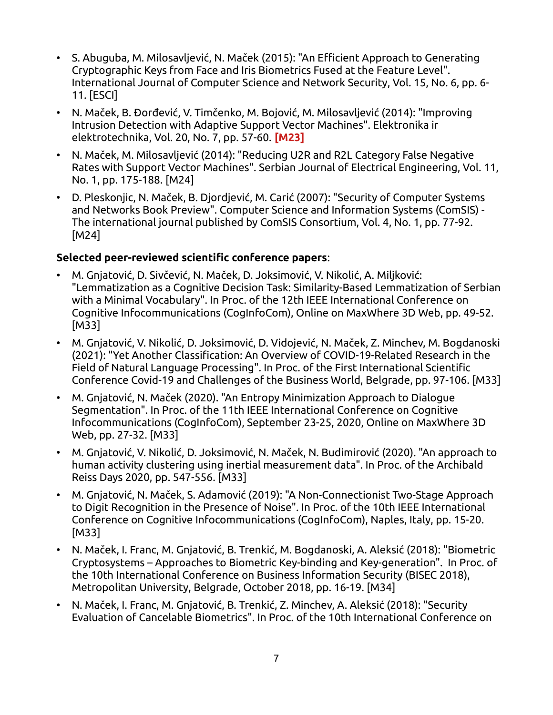- S. Abuguba, M. Milosavljević, N. Maček (2015): "An Efficient Approach to Generating Cryptographic Keys from Face and Iris Biometrics Fused at the Feature Level". International Journal of Computer Science and Network Security, Vol. 15, No. 6, pp. 6- 11. [ESCI]
- N. Maček, B. Đorđević, V. Timčenko, M. Bojović, M. Milosavljević (2014): "Improving Intrusion Detection with Adaptive Support Vector Machines". Elektronika ir elektrotechnika, Vol. 20, No. 7, pp. 57-60. **[M23]**
- N. Maček, M. Milosavljević (2014): "Reducing U2R and R2L Category False Negative Rates with Support Vector Machines". Serbian Journal of Electrical Engineering, Vol. 11, No. 1, pp. 175-188. [M24]
- D. Pleskonjic, N. Maček, B. Djordjević, M. Carić (2007): "Security of Computer Systems and Networks Book Preview". Computer Science and Information Systems (ComSIS) - The international journal published by ComSIS Consortium, Vol. 4, No. 1, pp. 77-92. [M24]

# **Selected peer-reviewed scientific conference papers**:

- M. Gnjatović, D. Sivčević, N. Maček, D. Joksimović, V. Nikolić, A. Miljković: "Lemmatization as a Cognitive Decision Task: Similarity-Based Lemmatization of Serbian with a Minimal Vocabulary". In Proc. of the 12th IEEE International Conference on Cognitive Infocommunications (CogInfoCom), Online on MaxWhere 3D Web, pp. 49-52. [M33]
- M. Gnjatović, V. Nikolić, D. Joksimović, D. Vidojević, N. Maček, Z. Minchev, M. Bogdanoski (2021): "Yet Another Classification: An Overview of COVID-19-Related Research in the Field of Natural Language Processing". In Proc. of the First International Scientific Conference Covid-19 and Challenges of the Business World, Belgrade, pp. 97-106. [M33]
- M. Gnjatović, N. Maček (2020). "An Entropy Minimization Approach to Dialogue Segmentation". In Proc. of the 11th IEEE International Conference on Cognitive Infocommunications (CogInfoCom), September 23-25, 2020, Online on MaxWhere 3D Web, pp. 27-32. [M33]
- M. Gnjatović, V. Nikolić, D. Joksimović, N. Maček, N. Budimirović (2020). "An approach to human activity clustering using inertial measurement data". In Proc. of the Archibald Reiss Days 2020, pp. 547-556. [M33]
- M. Gnjatović, N. Maček, S. Adamović (2019): "A Non-Connectionist Two-Stage Approach to Digit Recognition in the Presence of Noise". In Proc. of the 10th IEEE International Conference on Cognitive Infocommunications (CogInfoCom), Naples, Italy, pp. 15-20. [M33]
- N. Maček, I. Franc, M. Gnjatović, B. Trenkić, M. Bogdanoski, A. Aleksić (2018): "Biometric Cryptosystems – Approaches to Biometric Key-binding and Key-generation". In Proc. of the 10th International Conference on Business Information Security (BISEC 2018), Metropolitan University, Belgrade, October 2018, pp. 16-19. [M34]
- N. Maček, I. Franc, M. Gnjatović, B. Trenkić, Z. Minchev, A. Aleksić (2018): "Security Evaluation of Cancelable Biometrics". In Proc. of the 10th International Conference on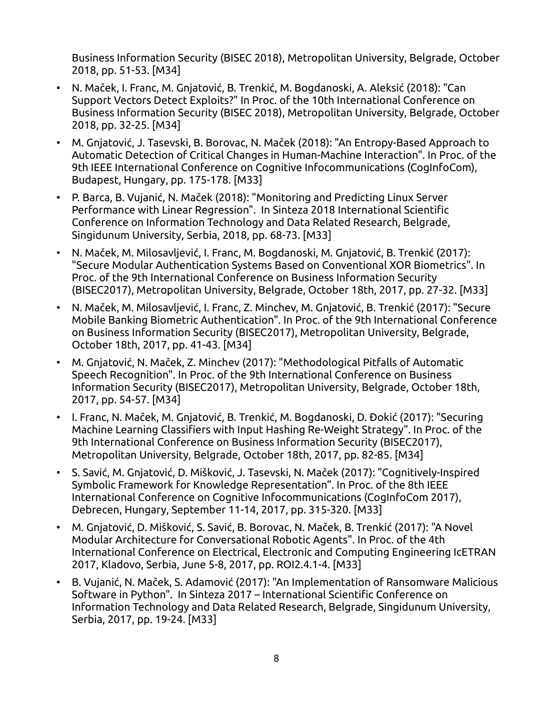Business Information Security (BISEC 2018), Metropolitan University, Belgrade, October 2018, pp. 51-53. [M34]

- N. Maček, I. Franc, M. Gnjatović, B. Trenkić, M. Bogdanoski, A. Aleksić (2018): "Can Support Vectors Detect Exploits?" In Proc. of the 10th International Conference on Business Information Security (BISEC 2018), Metropolitan University, Belgrade, October 2018, pp. 32-25. [M34]
- M. Gnjatović, J. Tasevski, B. Borovac, N. Maček (2018): "An Entropy-Based Approach to Automatic Detection of Critical Changes in Human-Machine Interaction". In Proc. of the 9th IEEE International Conference on Cognitive Infocommunications (CogInfoCom), Budapest, Hungary, pp. 175-178. [M33]
- P. Barca, B. Vujanić, N. Maček (2018): "Monitoring and Predicting Linux Server Performance with Linear Regression". In Sinteza 2018 International Scientific Conference on Information Technology and Data Related Research, Belgrade, Singidunum University, Serbia, 2018, pp. 68-73. [M33]
- N. Maček, M. Milosavljević, I. Franc, M. Bogdanoski, M. Gnjatović, B. Trenkić (2017): "Secure Modular Authentication Systems Based on Conventional XOR Biometrics". In Proc. of the 9th International Conference on Business Information Security (BISEC2017), Metropolitan University, Belgrade, October 18th, 2017, pp. 27-32. [M33]
- N. Maček, M. Milosavljević, I. Franc, Z. Minchev, M. Gnjatović, B. Trenkić (2017): "Secure Mobile Banking Biometric Authentication". In Proc. of the 9th International Conference on Business Information Security (BISEC2017), Metropolitan University, Belgrade, October 18th, 2017, pp. 41-43. [M34]
- M. Gnjatović, N. Maček, Z. Minchev (2017): "Methodological Pitfalls of Automatic Speech Recognition". In Proc. of the 9th International Conference on Business Information Security (BISEC2017), Metropolitan University, Belgrade, October 18th, 2017, pp. 54-57. [M34]
- I. Franc, N. Maček, M. Gnjatović, B. Trenkić, M. Bogdanoski, D. Đokić (2017): "Securing Machine Learning Classifiers with Input Hashing Re-Weight Strategy". In Proc. of the 9th International Conference on Business Information Security (BISEC2017), Metropolitan University, Belgrade, October 18th, 2017, pp. 82-85. [M34]
- S. Savić, M. Gnjatović, D. Mišković, J. Tasevski, N. Maček (2017): "Cognitively-Inspired Symbolic Framework for Knowledge Representation". In Proc. of the 8th IEEE International Conference on Cognitive Infocommunications (CogInfoCom 2017), Debrecen, Hungary, September 11-14, 2017, pp. 315-320. [M33]
- M. Gnjatović, D. Mišković, S. Savić, B. Borovac, N. Maček, B. Trenkić (2017): "A Novel Modular Architecture for Conversational Robotic Agents". In Proc. of the 4th International Conference on Electrical, Electronic and Computing Engineering IcETRAN 2017, Kladovo, Serbia, June 5-8, 2017, pp. ROI2.4.1-4. [M33]
- B. Vujanić, N. Maček, S. Adamović (2017): "An Implementation of Ransomware Malicious Software in Python". In Sinteza 2017 – International Scientific Conference on Information Technology and Data Related Research, Belgrade, Singidunum University, Serbia, 2017, pp. 19-24. [M33]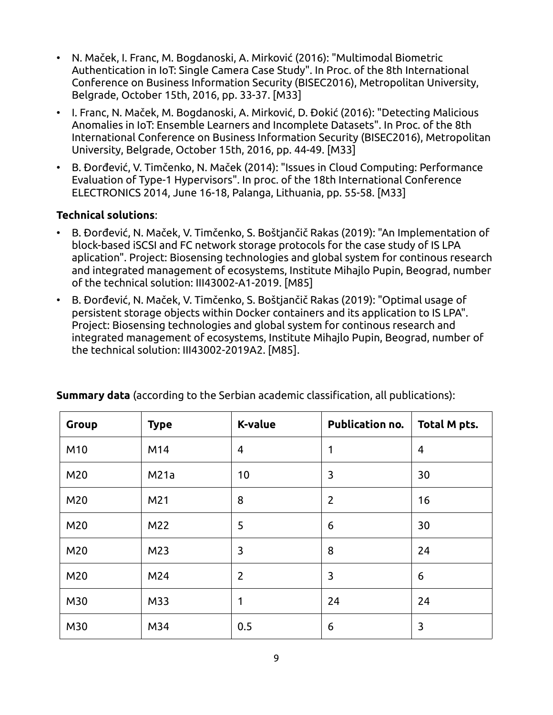- N. Maček, I. Franc, M. Bogdanoski, A. Mirković (2016): "Multimodal Biometric Authentication in IoT: Single Camera Case Study". In Proc. of the 8th International Conference on Business Information Security (BISEC2016), Metropolitan University, Belgrade, October 15th, 2016, pp. 33-37. [M33]
- I. Franc, N. Maček, M. Bogdanoski, A. Mirković, D. Đokić (2016): "Detecting Malicious Anomalies in IoT: Ensemble Learners and Incomplete Datasets". In Proc. of the 8th International Conference on Business Information Security (BISEC2016), Metropolitan University, Belgrade, October 15th, 2016, pp. 44-49. [M33]
- B. Đorđević, V. Timčenko, N. Maček (2014): "Issues in Cloud Computing: Performance Evaluation of Type-1 Hypervisors". In proc. of the 18th International Conference ELECTRONICS 2014, June 16-18, Palanga, Lithuania, pp. 55-58. [M33]

# **Technical solutions**:

- B. Đorđević, N. Maček, V. Timčenko, S. Boštjančič Rakas (2019): "An Implementation of block-based iSCSI and FC network storage protocols for the case study of IS LPA aplication". Project: Biosensing technologies and global system for continous research and integrated management of ecosystems, Institute Mihajlo Pupin, Beograd, number of the technical solution: III43002-A1-2019. [M85]
- B. Đorđević, N. Maček, V. Timčenko, S. Boštjančič Rakas (2019): "Optimal usage of persistent storage objects within Docker containers and its application to IS LPA". Project: Biosensing technologies and global system for continous research and integrated management of ecosystems, Institute Mihajlo Pupin, Beograd, number of the technical solution: III43002-2019A2. [M85].

| Group | <b>Type</b> | <b>K-value</b> | Publication no. | Total M pts.   |
|-------|-------------|----------------|-----------------|----------------|
| M10   | M14         | $\overline{4}$ | 1               | $\overline{4}$ |
| M20   | M21a        | 10             | 3               | 30             |
| M20   | M21         | 8              | $\overline{2}$  | 16             |
| M20   | M22         | 5              | 6               | 30             |
| M20   | M23         | 3              | 8               | 24             |
| M20   | M24         | $\overline{2}$ | 3               | 6              |
| M30   | M33         | 1              | 24              | 24             |
| M30   | M34         | 0.5            | 6               | 3              |

**Summary data** (according to the Serbian academic classification, all publications):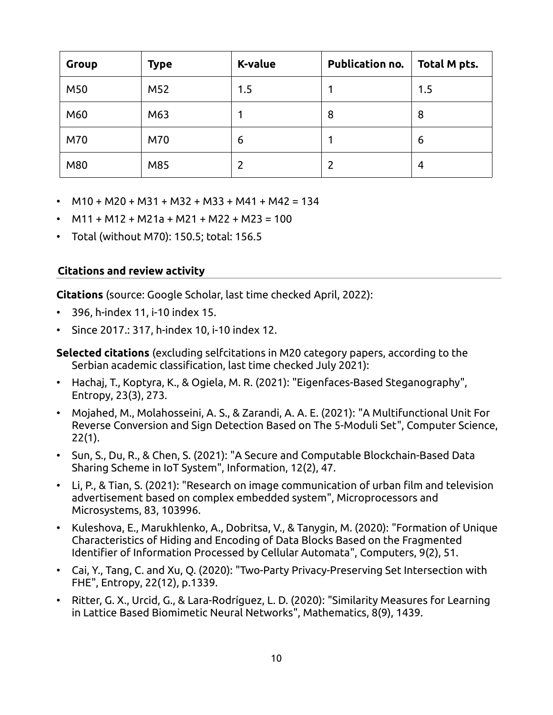| <b>Group</b> | <b>Type</b> | <b>K-value</b> | <b>Publication no.</b> | Total M pts. |
|--------------|-------------|----------------|------------------------|--------------|
| M50          | M52         | 1.5            |                        | 1.5          |
| M60          | M63         |                | 8                      | 8            |
| M70          | M70         | 6              |                        | 6            |
| M80          | M85         |                |                        | 4            |

- $M10 + M20 + M31 + M32 + M33 + M41 + M42 = 134$
- $M11 + M12 + M21a + M21 + M22 + M23 = 100$
- Total (without M70): 150.5; total: 156.5

#### **Citations and review activity**

**Citations** (source: Google Scholar, last time checked April, 2022):

- 396, h-index 11, i-10 index 15.
- Since 2017.: 317, h-index 10, i-10 index 12.

**Selected citations** (excluding selfcitations in M20 category papers, according to the Serbian academic classification, last time checked July 2021):

- Hachaj, T., Koptyra, K., & Ogiela, M. R. (2021): "Eigenfaces-Based Steganography", Entropy, 23(3), 273.
- Mojahed, M., Molahosseini, A. S., & Zarandi, A. A. E. (2021): "A Multifunctional Unit For Reverse Conversion and Sign Detection Based on The 5-Moduli Set", Computer Science, 22(1).
- Sun, S., Du, R., & Chen, S. (2021): "A Secure and Computable Blockchain-Based Data Sharing Scheme in IoT System", Information, 12(2), 47.
- Li, P., & Tian, S. (2021): "Research on image communication of urban film and television advertisement based on complex embedded system", Microprocessors and Microsystems, 83, 103996.
- Kuleshova, E., Marukhlenko, A., Dobritsa, V., & Tanygin, M. (2020): "Formation of Unique Characteristics of Hiding and Encoding of Data Blocks Based on the Fragmented Identifier of Information Processed by Cellular Automata", Computers, 9(2), 51.
- Cai, Y., Tang, C. and Xu, Q. (2020): "Two-Party Privacy-Preserving Set Intersection with FHE", Entropy, 22(12), p.1339.
- Ritter, G. X., Urcid, G., & Lara-Rodríguez, L. D. (2020): "Similarity Measures for Learning in Lattice Based Biomimetic Neural Networks", Mathematics, 8(9), 1439.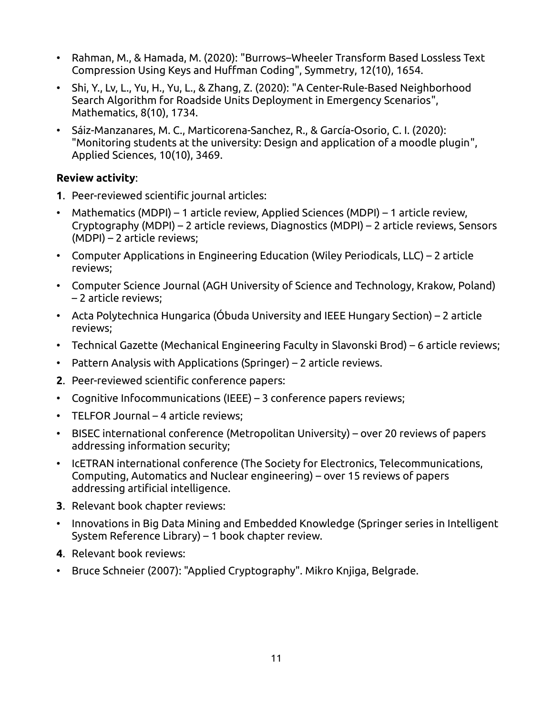- Rahman, M., & Hamada, M. (2020): "Burrows–Wheeler Transform Based Lossless Text Compression Using Keys and Huffman Coding", Symmetry, 12(10), 1654.
- Shi, Y., Lv, L., Yu, H., Yu, L., & Zhang, Z. (2020): "A Center-Rule-Based Neighborhood Search Algorithm for Roadside Units Deployment in Emergency Scenarios", Mathematics, 8(10), 1734.
- Sáiz-Manzanares, M. C., Marticorena-Sanchez, R., & García-Osorio, C. I. (2020): "Monitoring students at the university: Design and application of a moodle plugin", Applied Sciences, 10(10), 3469.

#### **Review activity**:

- **1**. Peer-reviewed scientific journal articles:
- Mathematics (MDPI) 1 article review, Applied Sciences (MDPI) 1 article review, Cryptography (MDPI) – 2 article reviews, Diagnostics (MDPI) – 2 article reviews, Sensors (MDPI) – 2 article reviews;
- Computer Applications in Engineering Education (Wiley Periodicals, LLC) 2 article reviews;
- Computer Science Journal (AGH University of Science and Technology, Krakow, Poland) – 2 article reviews;
- Acta Polytechnica Hungarica (Óbuda University and IEEE Hungary Section) 2 article reviews;
- Technical Gazette (Mechanical Engineering Faculty in Slavonski Brod) 6 article reviews;
- Pattern Analysis with Applications (Springer) 2 article reviews.
- **2**. Peer-reviewed scientific conference papers:
- Cognitive Infocommunications (IEEE) 3 conference papers reviews;
- TELFOR Journal 4 article reviews;
- BISEC international conference (Metropolitan University) over 20 reviews of papers addressing information security;
- IcETRAN international conference (The Society for Electronics, Telecommunications, Computing, Automatics and Nuclear engineering) – over 15 reviews of papers addressing artificial intelligence.
- **3**. Relevant book chapter reviews:
- Innovations in Big Data Mining and Embedded Knowledge (Springer series in Intelligent System Reference Library) – 1 book chapter review.
- **4**. Relevant book reviews:
- Bruce Schneier (2007): "Applied Cryptography". Mikro Knjiga, Belgrade.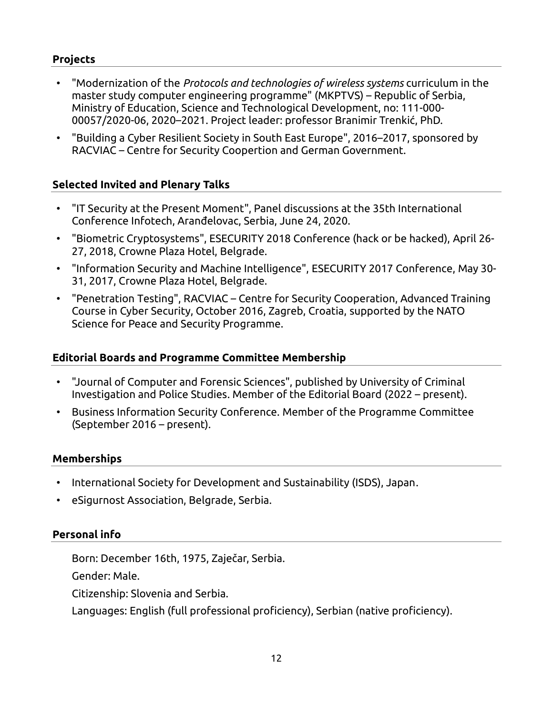# **Projects**

- "Modernization of the *Protocols and technologies of wireless systems* curriculum in the master study computer engineering programme" (MKPTVS) – Republic of Serbia, Ministry of Education, Science and Technological Development, no: 111-000- 00057/2020-06, 2020–2021. Project leader: professor Branimir Trenkić, PhD.
- "Building a Cyber Resilient Society in South East Europe", 2016–2017, sponsored by RACVIAC – Centre for Security Coopertion and German Government.

# **Selected Invited and Plenary Talks**

- "IT Security at the Present Moment", Panel discussions at the 35th International Conference Infotech, Aranđelovac, Serbia, June 24, 2020.
- "Biometric Cryptosystems", ESECURITY 2018 Conference (hack or be hacked), April 26- 27, 2018, Crowne Plaza Hotel, Belgrade.
- "Information Security and Machine Intelligence", ESECURITY 2017 Conference, May 30- 31, 2017, Crowne Plaza Hotel, Belgrade.
- "Penetration Testing", RACVIAC Centre for Security Cooperation, Advanced Training Course in Cyber Security, October 2016, Zagreb, Croatia, supported by the NATO Science for Peace and Security Programme.

# **Editorial Boards and Programme Committee Membership**

- "Journal of Computer and Forensic Sciences", published by University of Criminal Investigation and Police Studies. Member of the Editorial Board (2022 – present).
- Business Information Security Conference. Member of the Programme Committee (September 2016 – present).

# **Memberships**

- International Society for Development and Sustainability (ISDS), Japan.
- eSigurnost Association, Belgrade, Serbia.

# **Personal info**

Born: December 16th, 1975, Zaječar, Serbia.

Gender: Male.

Citizenship: Slovenia and Serbia.

Languages: English (full professional proficiency), Serbian (native proficiency).